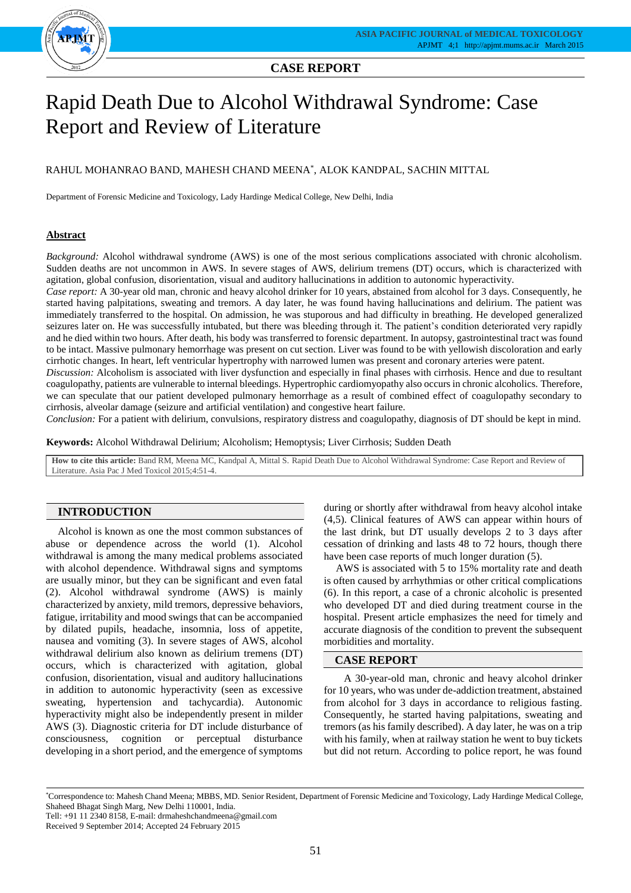

# **CASE REPORT**

# Rapid Death Due to Alcohol Withdrawal Syndrome: Case Report and Review of Literature

## RAHUL MOHANRAO BAND, MAHESH CHAND MEENA\* , ALOK KANDPAL, SACHIN MITTAL

Department of Forensic Medicine and Toxicology, Lady Hardinge Medical College, New Delhi, India

## **Abstract**

*Background:* Alcohol withdrawal syndrome (AWS) is one of the most serious complications associated with chronic alcoholism. Sudden deaths are not uncommon in AWS. In severe stages of AWS, delirium tremens (DT) occurs, which is characterized with agitation, global confusion, disorientation, visual and auditory hallucinations in addition to autonomic hyperactivity.

*Case report:* A 30-year old man, chronic and heavy alcohol drinker for 10 years, abstained from alcohol for 3 days. Consequently, he started having palpitations, sweating and tremors. A day later, he was found having hallucinations and delirium. The patient was immediately transferred to the hospital. On admission, he was stuporous and had difficulty in breathing. He developed generalized seizures later on. He was successfully intubated, but there was bleeding through it. The patient's condition deteriorated very rapidly and he died within two hours. After death, his body was transferred to forensic department. In autopsy, gastrointestinal tract was found to be intact. Massive pulmonary hemorrhage was present on cut section. Liver was found to be with yellowish discoloration and early cirrhotic changes. In heart, left ventricular hypertrophy with narrowed lumen was present and coronary arteries were patent.

*Discussion:* Alcoholism is associated with liver dysfunction and especially in final phases with cirrhosis. Hence and due to resultant coagulopathy, patients are vulnerable to internal bleedings. Hypertrophic cardiomyopathy also occurs in chronic alcoholics. Therefore, we can speculate that our patient developed pulmonary hemorrhage as a result of combined effect of coagulopathy secondary to cirrhosis, alveolar damage (seizure and artificial ventilation) and congestive heart failure.

*Conclusion:* For a patient with delirium, convulsions, respiratory distress and coagulopathy, diagnosis of DT should be kept in mind.

**Keywords:** Alcohol Withdrawal Delirium; Alcoholism; Hemoptysis; Liver Cirrhosis; Sudden Death

**How to cite this article:** Band RM, Meena MC, Kandpal A, Mittal S. Rapid Death Due to Alcohol Withdrawal Syndrome: Case Report and Review of Literature. Asia Pac J Med Toxicol 2015;4:51-4.

## **INTRODUCTION**

Alcohol is known as one the most common substances of abuse or dependence across the world (1). Alcohol withdrawal is among the many medical problems associated with alcohol dependence. Withdrawal signs and symptoms are usually minor, but they can be significant and even fatal (2). Alcohol withdrawal syndrome (AWS) is mainly characterized by anxiety, mild tremors, depressive behaviors, fatigue, irritability and mood swings that can be accompanied by dilated pupils, headache, insomnia, loss of appetite, nausea and vomiting (3). In severe stages of AWS, alcohol withdrawal delirium also known as delirium tremens (DT) occurs, which is characterized with agitation, global confusion, disorientation, visual and auditory hallucinations in addition to autonomic hyperactivity (seen as excessive sweating, hypertension and tachycardia). Autonomic hyperactivity might also be independently present in milder AWS (3). Diagnostic criteria for DT include disturbance of consciousness, cognition or perceptual disturbance developing in a short period, and the emergence of symptoms

during or shortly after withdrawal from heavy alcohol intake (4,5). Clinical features of AWS can appear within hours of the last drink, but DT usually develops 2 to 3 days after cessation of drinking and lasts 48 to 72 hours, though there have been case reports of much longer duration (5).

AWS is associated with 5 to 15% mortality rate and death is often caused by arrhythmias or other critical complications (6). In this report, a case of a chronic alcoholic is presented who developed DT and died during treatment course in the hospital. Present article emphasizes the need for timely and accurate diagnosis of the condition to prevent the subsequent morbidities and mortality.

#### **CASE REPORT**

 A 30-year-old man, chronic and heavy alcohol drinker for 10 years, who was under de-addiction treatment, abstained from alcohol for 3 days in accordance to religious fasting. Consequently, he started having palpitations, sweating and tremors (as his family described). A day later, he was on a trip with his family, when at railway station he went to buy tickets but did not return. According to police report, he was found

<sup>\*</sup>Correspondence to: Mahesh Chand Meena; MBBS, MD. Senior Resident, Department of Forensic Medicine and Toxicology, Lady Hardinge Medical College, Shaheed Bhagat Singh Marg, New Delhi 110001, India.

Tell: +91 11 2340 8158, E-mail: drmaheshchandmeena@gmail.com

Received 9 September 2014; Accepted 24 February 2015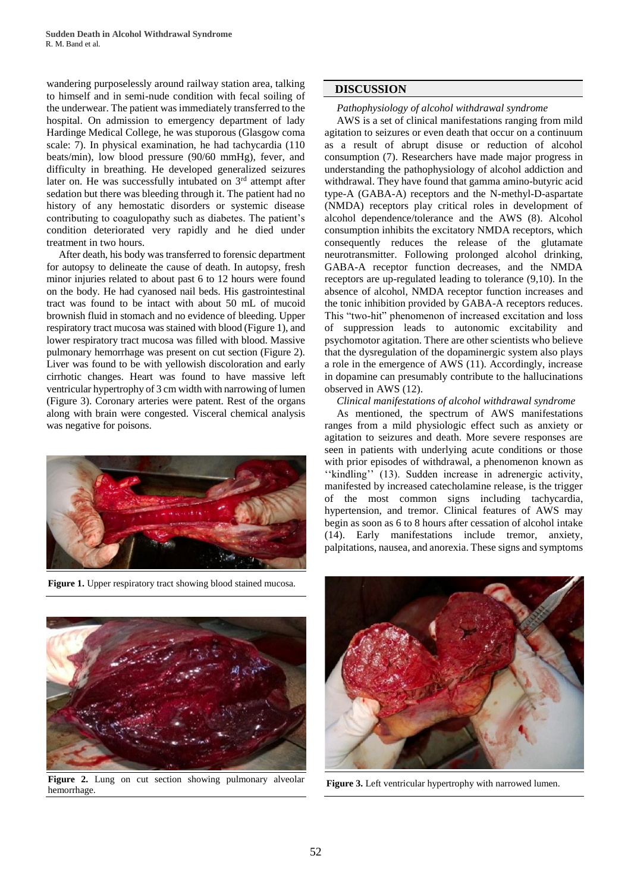wandering purposelessly around railway station area, talking to himself and in semi-nude condition with fecal soiling of the underwear. The patient was immediately transferred to the hospital. On admission to emergency department of lady Hardinge Medical College, he was stuporous (Glasgow coma scale: 7). In physical examination, he had tachycardia (110 beats/min), low blood pressure (90/60 mmHg), fever, and difficulty in breathing. He developed generalized seizures later on. He was successfully intubated on  $3<sup>rd</sup>$  attempt after sedation but there was bleeding through it. The patient had no history of any hemostatic disorders or systemic disease contributing to coagulopathy such as diabetes. The patient's condition deteriorated very rapidly and he died under treatment in two hours.

After death, his body was transferred to forensic department for autopsy to delineate the cause of death. In autopsy, fresh minor injuries related to about past 6 to 12 hours were found on the body. He had cyanosed nail beds. His gastrointestinal tract was found to be intact with about 50 mL of mucoid brownish fluid in stomach and no evidence of bleeding. Upper respiratory tract mucosa was stained with blood (Figure 1), and lower respiratory tract mucosa was filled with blood. Massive pulmonary hemorrhage was present on cut section (Figure 2). Liver was found to be with yellowish discoloration and early cirrhotic changes. Heart was found to have massive left ventricular hypertrophy of 3 cm width with narrowing of lumen (Figure 3). Coronary arteries were patent. Rest of the organs along with brain were congested. Visceral chemical analysis was negative for poisons.



**Figure 1.** Upper respiratory tract showing blood stained mucosa.

# **DISCUSSION**

## *Pathophysiology of alcohol withdrawal syndrome*

AWS is a set of clinical manifestations ranging from mild agitation to seizures or even death that occur on a continuum as a result of abrupt disuse or reduction of alcohol consumption (7). Researchers have made major progress in understanding the pathophysiology of alcohol addiction and withdrawal. They have found that gamma amino-butyric acid type-A (GABA-A) receptors and the N-methyl-D-aspartate (NMDA) receptors play critical roles in development of alcohol dependence/tolerance and the AWS (8). Alcohol consumption inhibits the excitatory NMDA receptors, which consequently reduces the release of the glutamate neurotransmitter. Following prolonged alcohol drinking, GABA-A receptor function decreases, and the NMDA receptors are up-regulated leading to tolerance (9,10). In the absence of alcohol, NMDA receptor function increases and the tonic inhibition provided by GABA-A receptors reduces. This "two-hit" phenomenon of increased excitation and loss of suppression leads to autonomic excitability and psychomotor agitation. There are other scientists who believe that the dysregulation of the dopaminergic system also plays a role in the emergence of AWS (11). Accordingly, increase in dopamine can presumably contribute to the hallucinations observed in AWS (12).

## *Clinical manifestations of alcohol withdrawal syndrome*

As mentioned, the spectrum of AWS manifestations ranges from a mild physiologic effect such as anxiety or agitation to seizures and death. More severe responses are seen in patients with underlying acute conditions or those with prior episodes of withdrawal, a phenomenon known as ''kindling'' (13). Sudden increase in adrenergic activity, manifested by increased catecholamine release, is the trigger of the most common signs including tachycardia, hypertension, and tremor. Clinical features of AWS may begin as soon as 6 to 8 hours after cessation of alcohol intake (14). Early manifestations include tremor, anxiety, palpitations, nausea, and anorexia. These signs and symptoms



**Figure 2.** Lung on cut section showing pulmonary alveolar hemorrhage.



**Figure 3.** Left ventricular hypertrophy with narrowed lumen.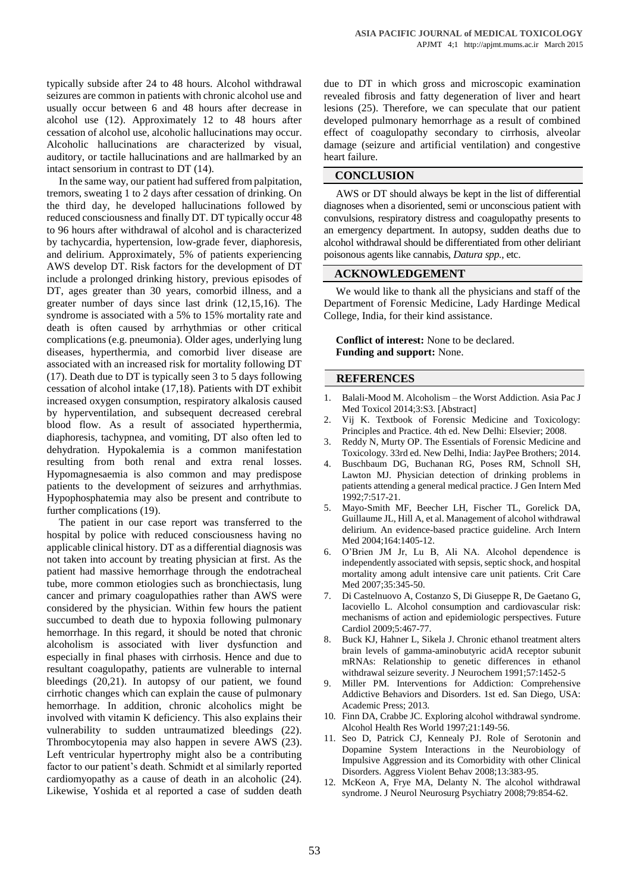typically subside after 24 to 48 hours. Alcohol withdrawal seizures are common in patients with chronic alcohol use and usually occur between 6 and 48 hours after decrease in alcohol use (12). Approximately 12 to 48 hours after cessation of alcohol use, alcoholic hallucinations may occur. Alcoholic hallucinations are characterized by visual, auditory, or tactile hallucinations and are hallmarked by an intact sensorium in contrast to DT (14).

In the same way, our patient had suffered from palpitation, tremors, sweating 1 to 2 days after cessation of drinking. On the third day, he developed hallucinations followed by reduced consciousness and finally DT. DT typically occur 48 to 96 hours after withdrawal of alcohol and is characterized by tachycardia, hypertension, low-grade fever, diaphoresis, and delirium. Approximately, 5% of patients experiencing AWS develop DT. Risk factors for the development of DT include a prolonged drinking history, previous episodes of DT, ages greater than 30 years, comorbid illness, and a greater number of days since last drink (12,15,16). The syndrome is associated with a 5% to 15% mortality rate and death is often caused by arrhythmias or other critical complications (e.g. pneumonia). Older ages, underlying lung diseases, hyperthermia, and comorbid liver disease are associated with an increased risk for mortality following DT (17). Death due to DT is typically seen 3 to 5 days following cessation of alcohol intake (17,18). Patients with DT exhibit increased oxygen consumption, respiratory alkalosis caused by hyperventilation, and subsequent decreased cerebral blood flow. As a result of associated hyperthermia, diaphoresis, tachypnea, and vomiting, DT also often led to dehydration. Hypokalemia is a common manifestation resulting from both renal and extra renal losses. Hypomagnesaemia is also common and may predispose patients to the development of seizures and arrhythmias. Hypophosphatemia may also be present and contribute to further complications (19).

The patient in our case report was transferred to the hospital by police with reduced consciousness having no applicable clinical history. DT as a differential diagnosis was not taken into account by treating physician at first. As the patient had massive hemorrhage through the endotracheal tube, more common etiologies such as bronchiectasis, lung cancer and primary coagulopathies rather than AWS were considered by the physician. Within few hours the patient succumbed to death due to hypoxia following pulmonary hemorrhage. In this regard, it should be noted that chronic alcoholism is associated with liver dysfunction and especially in final phases with cirrhosis. Hence and due to resultant coagulopathy, patients are vulnerable to internal bleedings (20,21). In autopsy of our patient, we found cirrhotic changes which can explain the cause of pulmonary hemorrhage. In addition, chronic alcoholics might be involved with vitamin K deficiency. This also explains their vulnerability to sudden untraumatized bleedings (22). Thrombocytopenia may also happen in severe AWS (23). Left ventricular hypertrophy might also be a contributing factor to our patient's death. Schmidt et al similarly reported cardiomyopathy as a cause of death in an alcoholic (24). Likewise, Yoshida et al reported a case of sudden death

due to DT in which gross and microscopic examination revealed fibrosis and fatty degeneration of liver and heart lesions (25). Therefore, we can speculate that our patient developed pulmonary hemorrhage as a result of combined effect of coagulopathy secondary to cirrhosis, alveolar damage (seizure and artificial ventilation) and congestive heart failure.

## **CONCLUSION**

AWS or DT should always be kept in the list of differential diagnoses when a disoriented, semi or unconscious patient with convulsions, respiratory distress and coagulopathy presents to an emergency department. In autopsy, sudden deaths due to alcohol withdrawal should be differentiated from other deliriant poisonous agents like cannabis, *Datura spp.*, etc.

# **ACKNOWLEDGEMENT**

We would like to thank all the physicians and staff of the Department of Forensic Medicine, Lady Hardinge Medical College, India, for their kind assistance.

**Conflict of interest:** None to be declared. **Funding and support:** None.

## **REFERENCES**

- 1. Balali-Mood M. Alcoholism the Worst Addiction. Asia Pac J Med Toxicol 2014;3:S3. [Abstract]
- 2. Vij K. Textbook of Forensic Medicine and Toxicology: Principles and Practice. 4th ed. New Delhi: Elsevier; 2008.
- 3. Reddy N, Murty OP. The Essentials of Forensic Medicine and Toxicology. 33rd ed. New Delhi, India: JayPee Brothers; 2014.
- 4. Buschbaum DG, Buchanan RG, Poses RM, Schnoll SH, Lawton MJ. Physician detection of drinking problems in patients attending a general medical practice. J Gen Intern Med 1992;7:517-21.
- 5. Mayo-Smith MF, Beecher LH, Fischer TL, Gorelick DA, Guillaume JL, Hill A, et al. Management of alcohol withdrawal delirium. An evidence-based practice guideline. Arch Intern Med 2004;164:1405-12.
- 6. O'Brien JM Jr, Lu B, Ali NA. Alcohol dependence is independently associated with sepsis, septic shock, and hospital mortality among adult intensive care unit patients. Crit Care Med 2007;35:345-50.
- 7. Di Castelnuovo A, Costanzo S, Di Giuseppe R, De Gaetano G, Iacoviello L. Alcohol consumption and cardiovascular risk: mechanisms of action and epidemiologic perspectives. Future Cardiol 2009;5:467-77.
- 8. Buck KJ, Hahner L, Sikela J. Chronic ethanol treatment alters brain levels of gamma-aminobutyric acidA receptor subunit mRNAs: Relationship to genetic differences in ethanol withdrawal seizure severity. J Neurochem 1991;57:1452-5
- Miller PM. Interventions for Addiction: Comprehensive Addictive Behaviors and Disorders. 1st ed. San Diego, USA: Academic Press; 2013.
- 10. Finn DA, Crabbe JC. Exploring alcohol withdrawal syndrome. Alcohol Health Res World 1997;21:149-56.
- 11. Seo D, Patrick CJ, Kennealy PJ. Role of Serotonin and Dopamine System Interactions in the Neurobiology of Impulsive Aggression and its Comorbidity with other Clinical Disorders. Aggress Violent Behav 2008;13:383-95.
- 12. McKeon A, Frye MA, Delanty N. The alcohol withdrawal syndrome. J Neurol Neurosurg Psychiatry 2008;79:854-62.